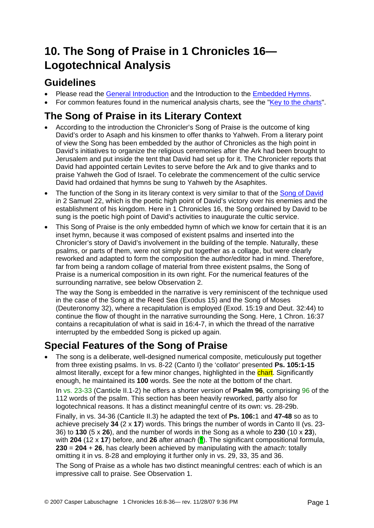# **10. The Song of Praise in 1 Chronicles 16— Logotechnical Analysis**

#### **Guidelines**

- Please read the [General Introduction](http://www.labuschagne.nl/aspects.pdf) and the Introduction to the [Embedded Hymns](http://www.labuschagne.nl/intro.embed.pdf).
- For common features found in the numerical analysis charts, see the "[Key to the charts](http://www.labuschagne.nl/keytocharts.pdf)".

# **The Song of Praise in its Literary Context**

- According to the introduction the Chronicler's Song of Praise is the outcome of king David's order to Asaph and his kinsmen to offer thanks to Yahweh. From a literary point of view the Song has been embedded by the author of Chronicles as the high point in David's initiatives to organize the religious ceremonies after the Ark had been brought to Jerusalem and put inside the tent that David had set up for it. The Chronicler reports that David had appointed certain Levites to serve before the Ark and to give thanks and to praise Yahweh the God of Israel. To celebrate the commencement of the cultic service David had ordained that hymns be sung to Yahweh by the Asaphites.
- The function of the Song in its literary context is very similar to that of the [Song of David](http://www.labuschagne.nl/5.2sam22.pdf) in 2 Samuel 22, which is the poetic high point of David's victory over his enemies and the establishment of his kingdom. Here in 1 Chronicles 16, the Song ordained by David to be sung is the poetic high point of David's activities to inaugurate the cultic service.
- This Song of Praise is the only embedded hymn of which we know for certain that it is an inset hymn, because it was composed of existent psalms and inserted into the Chronicler's story of David's involvement in the building of the temple. Naturally, these psalms, or parts of them, were not simply put together as a collage, but were clearly reworked and adapted to form the composition the author/editor had in mind. Therefore, far from being a random collage of material from three existent psalms, the Song of Praise is a numerical composition in its own right. For the numerical features of the surrounding narrative, see below Observation 2.

The way the Song is embedded in the narrative is very reminiscent of the technique used in the case of the Song at the Reed Sea (Exodus 15) and the Song of Moses (Deuteronomy 32), where a recapitulation is employed (Exod. 15:19 and Deut. 32:44) to continue the flow of thought in the narrative surrounding the Song. Here, 1 Chron. 16:37 contains a recapitulation of what is said in 16:4-7, in which the thread of the narrative interrupted by the embedded Song is picked up again.

## **Special Features of the Song of Praise**

• The song is a deliberate, well-designed numerical composite, meticulously put together from three existing psalms. In vs. 8-22 (Canto I) the 'collator' presented **Ps. 105:1-15** almost literally, except for a few minor changes, highlighted in the chart. Significantly enough, he maintained its **100** words. See the note at the bottom of the chart.

In vs. 23-33 (Canticle II.1-2) he offers a shorter version of **Psalm 96**, comprising 96 of the 112 words of the psalm. This section has been heavily reworked, partly also for logotechnical reasons. It has a distinct meaningful centre of its own: vs. 28-29b.

Finally, in vs. 34-36 (Canticle II.3) he adapted the text of **Ps. 106:**1 and **47-48** so as to achieve precisely **34** (2 x **17**) words. This brings the number of words in Canto II (vs. 23- 36) to **130** (5 x **26**), and the number of words in the Song as a whole to **230** (10 x **23**), with **204** (12 x **17**) before, and **26** after *atnach* ( $\triangle$ ). The significant compositional formula, **230** = **204** + **26**, has clearly been achieved by manipulating with the *atnach*: totally omitting it in vs. 8-28 and employing it further only in vs. 29, 33, 35 and 36.

The Song of Praise as a whole has two distinct meaningful centres: each of which is an impressive call to praise. See Observation 1.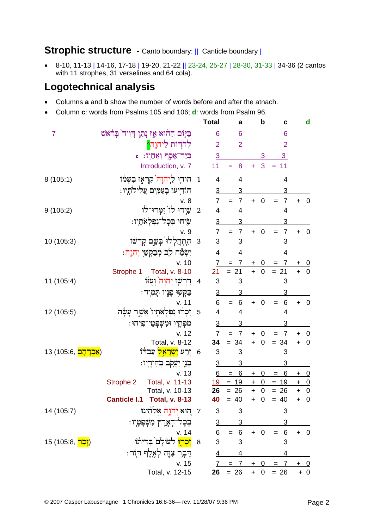### Strophic structure - Canto boundary: || Canticle boundary |

8-10, 11-13 | 14-16, 17-18 | 19-20, 21-22 || 23-24, 25-27 | 28-30, 31-33 | 34-36 (2 cantos  $\bullet$ with 11 strophes, 31 verselines and 64 cola).

#### **Logotechnical analysis**

- Columns a and **b** show the number of words before and after the atnach.
- Column c: words from Psalms 105 and 106; d: words from Psalm 96.

|                                     |                                                  |                | <b>Total</b>            | a                     | $\mathbf b$            | C                      |            | $\mathbf d$             |
|-------------------------------------|--------------------------------------------------|----------------|-------------------------|-----------------------|------------------------|------------------------|------------|-------------------------|
| $\overline{7}$                      | ּבַּיְּוֹם הַחוֹיא אָז נְתַן דְיִיד בְּרֹאֹשׁ    |                | 6                       | 6                     |                        | 6                      |            |                         |
|                                     | להרות ליהוה <mark>^</mark>                       |                | $\overline{2}$          | $\overline{2}$        |                        | $\overline{2}$         |            |                         |
|                                     | בְּיַד־אָסֶף וְאֶחֶיו: פּ                        |                | $\overline{3}$          |                       | 3                      | $\overline{3}$         |            |                         |
|                                     | Introduction, v. 7                               |                | 11                      | 8                     | 3<br>Ŧ                 | 11<br>$=$              |            |                         |
| 8(105:1)                            | הוֹדְוּ לַיְהוָה קִרְאָוּ בִשְׁמֹוֹ              | $\mathbf{1}$   | 4                       | 4                     |                        | 4                      |            |                         |
|                                     | הוֹדְיעוּ בְעַמָּיִם עֲלִילוֹתָיו:               |                | $\overline{3}$          | 3                     |                        | 3                      |            |                         |
|                                     | v. 8                                             |                | $\overline{7}$          | $\overline{7}$<br>$=$ | $\mathbf 0$<br>$+$     | $\overline{7}$<br>$=$  | $+ 0$      |                         |
| 9(105:2)                            | שִׁיָרוּ לוֹ זַמְרוּ־לֹוֹ                        | $\overline{2}$ | $\overline{\mathbf{4}}$ | 4                     |                        | 4                      |            |                         |
|                                     | שִׂיחוּ בְּכָל־נִפְלְאֹתְיו :                    |                | $\overline{3}$          | 3                     |                        | 3                      |            |                         |
|                                     | v. 9                                             |                | $\overline{7}$          | $\overline{7}$<br>$=$ | $\mathbf 0$<br>$+$     | $\overline{7}$<br>$=$  | $+ 0$      |                         |
| 10 (105:3)                          | התבלקי בֹּשֵׁם לּلْבִתּוּ                        | 3              | 3                       | 3                     |                        | 3                      |            |                         |
|                                     | יִשְׂמַח לֵב מְבַקְשֵׁי יְהוָה:                  |                | $\overline{4}$          | 4                     |                        | 4                      |            |                         |
|                                     | v. 10                                            |                | 7                       | $= 7$                 | $\overline{0}$<br>$+$  | $= 7$                  | <u>+ 0</u> |                         |
|                                     | Strophe 1 Total, v. 8-10                         |                | 21                      | $= 21$                | $+$<br>$\overline{0}$  | $= 21$                 | $+$        | $\overline{0}$          |
| 11 (105:4)                          | דִּרְשָׁוּ יְהוָה <sup>י</sup> וְעָזּוּ          | $\overline{4}$ | 3                       | 3                     |                        | 3                      |            |                         |
|                                     | ּבַקְשָׁוּ פָנֶיו תָּמִיִד:                      |                | $\overline{3}$          | 3                     |                        | 3                      |            |                         |
|                                     | v. 11                                            |                | 6                       | $= 6$                 | $\mathbf 0$<br>$+$     | $\,6\,$<br>$=$         | $+ 0$      |                         |
| 12 (105:5)                          | זִכְרוּ נִפְלְאֹתָיוֹ אֲשֶׁר עָשָׂׂה             | 5              | 4                       | 4                     |                        | 4                      |            |                         |
|                                     | מֹפִתָיו וּמִשִׁפִּטֵי־פִיחוּ:                   |                | $\overline{3}$          | 3                     |                        | 3                      |            |                         |
|                                     | v. 12                                            |                | $\overline{1}$          | $\overline{7}$        | $\overline{0}$<br>$+$  | $\overline{7}$         |            | $\overline{\mathbf{0}}$ |
|                                     | Total, v. 8-12                                   |                | 34                      | $= 34$                | $+ 0$                  | $= 34$                 | $+ 0$      |                         |
| ( <mark>אַבְרְהָם</mark> ,105:6) 13 | זֶרַע <mark>יִשְׂרָאֵל</mark> עַבְדֹוֹ           | 6              | 3                       | 3                     |                        | 3                      |            |                         |
|                                     | ּבְּגִי יַצְקִב בְּחִירְיו:                      |                | $\overline{3}$          | 3                     |                        | 3                      |            |                         |
|                                     | v. 13                                            |                | 6                       | 6<br>$=$              | 0<br>$\ddot{}$         | 6<br>$\qquad \qquad =$ | $+$        | $\overline{0}$          |
|                                     | Total, v. 11-13<br>Strophe 2                     |                | <u>19</u>               | $= 19$                | $\pmb{0}$<br>$\ddot{}$ | $= 19$                 | $+$        | $\overline{0}$          |
|                                     | Total, v. 10-13                                  |                | 26                      | $= 26$                | $+ 0$                  | $= 26$                 | $+ 0$      |                         |
|                                     | Canticle I.1 Total, v. 8-13                      |                | 40                      | $= 40$                | $+ 0$                  | $= 40$                 | $+ 0$      |                         |
| 14 (105:7)                          | 7 - הוא יְהוָה אֱלֹהֵינוּ                        |                | $\mathbf{3}$            | $\mathbf{3}$          |                        | 3                      |            |                         |
|                                     | <b>בְּכְל<sup>ַ</sup>־הָאָרֶץ מִשְׁפְּטְיו</b> : |                |                         | $\frac{3}{6} = 6$     |                        | <u>3</u>               |            |                         |
|                                     | v. 14                                            |                |                         |                       | $+ 0$                  | $\,6\,$<br>$=$         | $+$        | $\overline{\mathbf{0}}$ |
| 15 (105:8, <mark>יָכָר;</mark> )    | 8 <mark>זִכְרִוּ</mark> לְעוֹלָם בְּרִיתוֹ       |                | 3                       | 3                     |                        | 3                      |            |                         |
|                                     | דָּבָר צְוֶה לְאֵלֵף הִוֹר:                      |                | $\overline{4}$          | 4                     |                        | 4                      |            |                         |
|                                     | v. 15                                            |                |                         | $7 = 7 + 0 =$         |                        | $\overline{7}$         | $+ 0$      |                         |
|                                     | Total, v. 12-15                                  |                | 26                      | $= 26 + 0 = 26$       |                        |                        |            | $+ 0$                   |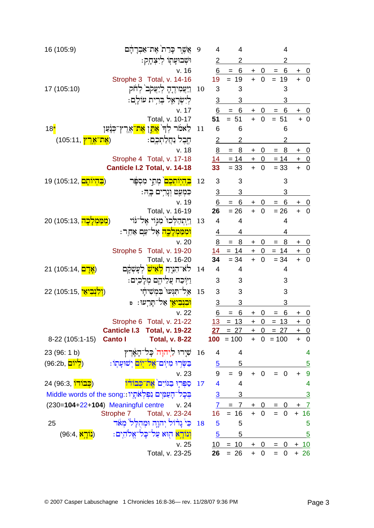| 16 (105:9)                                               |                | אֲשֶר כְּרַת אֶת־אַבְרָהָם                                      | 9         | 4              | 4                      |                |                | 4                       |                                  |                           |
|----------------------------------------------------------|----------------|-----------------------------------------------------------------|-----------|----------------|------------------------|----------------|----------------|-------------------------|----------------------------------|---------------------------|
|                                                          |                | וּשָׁבוּעָתְוֹ לְיִצְחָק:                                       |           |                |                        |                |                |                         |                                  |                           |
|                                                          |                | v. 16                                                           |           | 6              | 6<br>$=$               | $\ddot{}$      | $\mathbf 0$    | 6<br>$=$                | $\ddot{}$                        | $\overline{0}$            |
|                                                          |                | Strophe 3 Total, v. 14-16                                       |           | 19             | $= 19$                 | $+$            | $\pmb{0}$      | 19<br>$=$               | $\ddot{}$                        | $\mathbf 0$               |
| 17 (105:10)                                              |                | <u>ויִעֲ</u> מִידֶהָ לְיַעֲקֹב <sup>י</sup> לְ <del>חֹ</del> ק  | 10        | 3              | 3                      |                |                | 3                       |                                  |                           |
|                                                          |                | לְיִשְׂרָאֵל בְּרִית עוֹלָם:                                    |           | $\overline{3}$ | 3                      |                |                | 3                       |                                  |                           |
|                                                          |                | v. 17                                                           |           | 6              | $= 6$                  | $\mathbf +$    | 0              | 6                       | $\begin{array}{c} + \end{array}$ | $\overline{0}$            |
|                                                          |                | Total, v. 10-17                                                 |           | 51             | $= 51$                 | $\ddot{+}$     | $\overline{0}$ | $= 51$                  |                                  | $+ 0$                     |
| $18^*$                                                   |                | לֵאמֹר לְד <sup>ִי</sup> <mark>אָתֵן אֶת־</mark> אֶרֶץ־כְּנָעַן | 11        | 6              | 6                      |                |                | 6                       |                                  |                           |
| <mark>(אֶת־אֶרֶץ)</mark> (105:11)                        |                | <u> üڅم ئنام ناڅات:</u>                                         |           | 2              | $\overline{2}$         |                |                | $\overline{2}$          |                                  |                           |
|                                                          |                | v. 18                                                           |           | 8              | $\overline{8}$<br>$=$  | $+$            | $\overline{0}$ | 8<br>$=$                | $+$                              | <u>_0</u>                 |
|                                                          |                | Strophe 4 Total, v. 17-18                                       |           |                | $14 = 14$              | $+$            | $\overline{0}$ | $= 14$                  |                                  | $+ 0$                     |
|                                                          |                | Canticle I.2 Total, v. 14-18                                    |           | 33             | $= 33$                 | $\ddot{+}$     | $\mathbf 0$    | $= 33$                  | $\ddot{}$                        | $\overline{0}$            |
| ב <mark>היותם</mark> ,105:12) 19                         |                | מָתֵי מִסְפָּר                                                  | 12        | 3              | 3                      |                |                | 3                       |                                  |                           |
|                                                          |                | כִּמְעַט וְנֶרִים בֶה:                                          |           | $\overline{3}$ | 3                      |                |                | 3                       |                                  |                           |
|                                                          |                | v. 19                                                           |           | 6              | $6 \overline{}$<br>$=$ | $+$            | 0              | 6<br>$\qquad \qquad =$  | +                                | <u>0</u>                  |
|                                                          |                | Total, v. 16-19                                                 |           | 26             | $= 26$                 | $+$            | $\mathbf 0$    | $= 26$                  | $\ddot{+}$                       | $\mathbf 0$               |
| ( <mark>מִמַּמְלָכָה,</mark> 105:13) 20                  |                | וַיְתְהַלְכוּ מִגְוֹי אֶל־גֹּוֹי                                | 13        | $\overline{4}$ | $\overline{4}$         |                |                | 4                       |                                  |                           |
|                                                          |                | <mark>וּמִמַּמִלָכֶה</mark> אֵל־עַם אַחֵר:                      |           | 4              | 4                      |                |                | 4                       |                                  |                           |
|                                                          |                | v.20                                                            |           | 8              | 8                      | $\ddagger$     | 0              | 8                       | $\ddot{}$                        | $\overline{0}$            |
|                                                          |                | Strophe 5 Total, v. 19-20                                       |           | 14             | $= 14$                 | $\overline{+}$ | $\overline{0}$ | $= 14$                  | $\ddot{}$                        | $\overline{0}$            |
|                                                          |                | Total, v. 16-20                                                 |           | 34             | $= 34$                 | $\ddot{}$      | $\mathbf 0$    | $= 34$                  | $\ddot{+}$                       | $\overline{0}$            |
| ( <mark>אָדָם</mark> ,14:105) 21                         |                | לא־הִנְיַח <mark>לְאִישׁ</mark> לְעַשָּׂכֶם                     | 14        | $\overline{4}$ | 4                      |                |                | 4                       |                                  |                           |
|                                                          |                | וַיִּוֹכַח עֲלֵיהֱם מְלָכִים:                                   |           | 3              | 3                      |                |                | 3                       |                                  |                           |
| <mark>יִבְיאֵי</mark> ,15:15) 22                         |                | אַל־תְּנִעוּ בִמְשִׁיחַי                                        | 15        | 3              | 3                      |                |                | 3                       |                                  |                           |
|                                                          |                | <mark>וּבְנִבִיאַי</mark> אַל־תָּרֵעוּ: פּ                      |           | $\overline{3}$ | 3                      |                |                | 3                       |                                  |                           |
|                                                          |                | v. 22                                                           |           | 6              | 6                      | $\ddot{}$      | 0              | 6                       | $\pm$                            | $\overline{\mathbf{0}}$   |
|                                                          |                | Strophe 6 Total, v. 21-22<br>Canticle I.3 Total, v. 19-22       |           | 13<br>27       | 13<br>$=$<br>$= 27$    | $\ddot{}$      | $\mathbf 0$    | 13<br>$=$<br>$+ 0 = 27$ | $\ddot{}$                        | $\mathbf 0$               |
| 8-22 (105:1-15)                                          | <b>Canto I</b> | <b>Total, v. 8-22</b>                                           |           |                | $100 = 100$            |                |                | $+ 0 = 100$             | $\ddot{}$                        | <u>+ 0</u><br>$\mathbf 0$ |
| 23 (96: 1 b)                                             |                | 16 שִׁיַרוּ לַיִהוָה <sup>י</sup> כָל־הָאָרִץ                   |           | 4              | 4                      |                |                |                         |                                  | 4                         |
| (96:2b, <mark>ליום)</mark>                               |                | בַּשָּׂרִוּ מִיּֽוֹם־אֱל <sup>ַ–</sup> יִוֹם יִשׁוּעַתְוֹ :     |           | $\overline{5}$ | 5                      |                |                |                         |                                  | $\overline{5}$            |
|                                                          |                | v. 23                                                           |           | 9              | $= 9$                  | $+$            | 0              | $\mathbf{0}$<br>$=$     | $\ddot{}$                        | 9                         |
| 24 (96:3, <mark>כִּבוֹדוֹ</mark> )                       |                | סִפְּרִוּ בָגּוֹיִם אֶת־כִּבוֹדוֹ                               | 17        | 4              | 4                      |                |                |                         |                                  | 4                         |
| בִּכָל־הָעַמָּיִם נִפְלְאֹתָיו::Middle words of the song |                |                                                                 |           | 3              | 3                      |                |                |                         |                                  | 3                         |
| (230=104+22+104) Meaningful centre                       |                | v.24                                                            |           | $\mathcal{I}$  | $= 7$                  | $\ddot{}$      | 0              |                         |                                  | 7                         |
|                                                          | Strophe 7      | Total, v. 23-24                                                 |           | 16             | $= 16$                 | $+$            | $\mathbf 0$    | $\overline{0}$<br>$=$   | $\ddot{}$                        | 16                        |
| 25                                                       |                | כִּי נָרֹוֹל יְהוָהָ וּמְהָלָל מְאֹד                            | <b>18</b> | 5              | 5                      |                |                |                         |                                  | 5                         |
| (נ <mark>ורָא ,</mark> 96:4)                             |                | וִנוֹרֵא הִוּא עַל־כַל־אֵלהִים:                                 |           | $\overline{5}$ | 5                      |                |                |                         |                                  | <u>5</u>                  |
|                                                          |                | v.25                                                            |           |                | $10 = 10$              | $+$            | 0              | $= 0$                   | <u>+ 10</u>                      |                           |
|                                                          |                | Total, v. 23-25                                                 |           | 26             | $= 26$                 | $\ddot{}$      | 0              | 0<br>$=$                |                                  | $+26$                     |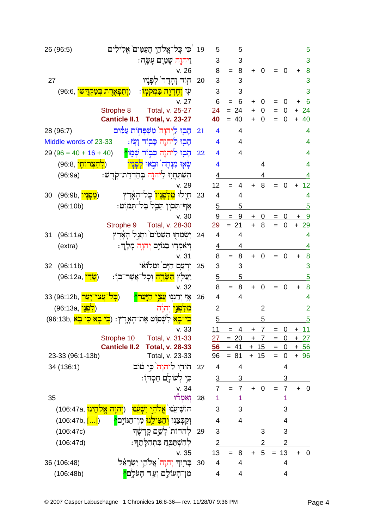|    | 26 (96:5)                                                                      |                      | כִּי כָּל־אֱלֹהֵיָ הָעַמִּים אֱלִילִים                                | 19 | 5                       | 5                                  |                |                |                                   |                     |           | 5                       |
|----|--------------------------------------------------------------------------------|----------------------|-----------------------------------------------------------------------|----|-------------------------|------------------------------------|----------------|----------------|-----------------------------------|---------------------|-----------|-------------------------|
|    |                                                                                |                      | וַיהוֶה שָׁמַיָם עָשָׂה:                                              |    | <u>3</u>                | 3                                  |                |                |                                   |                     |           | 3                       |
|    |                                                                                |                      | v. 26                                                                 |    | 8                       | 8<br>$=$                           | $\ddot{}$      | 0              |                                   | $\mathbf 0$         | $\ddot{}$ | 8                       |
| 27 |                                                                                |                      | הור והרר<br>קפַניו                                                    | 20 | 3                       | 3                                  |                |                |                                   |                     |           | 3                       |
|    | ( <mark>וְתִפְאֶרֶת בְּמָקְדָשׁו</mark> ,96:6)                                 |                      | <mark>וְחֵדְוֶה בִּמְקִמְוּ</mark> :                                  |    | $\overline{3}$          | 3                                  |                |                |                                   |                     |           | 3                       |
|    |                                                                                |                      | v. 27                                                                 |    | 6                       | 6<br>$=$                           | $\ddot{}$      | 0              | $=$                               | 0                   | $\ddot{}$ | 6                       |
|    |                                                                                | Strophe 8            | Total, v. 25-27                                                       |    | 24                      | $= 24$                             | $\ddot{}$      | 0              | $=$                               | $\mathbf 0$         | $+$       | 24                      |
|    |                                                                                | <b>Canticle II.1</b> | <b>Total, v. 23-27</b>                                                |    | 40                      | 40                                 | $\ddot{}$      | 0              |                                   | $\overline{0}$      | $\ddot{}$ | 40                      |
|    | 28 (96:7)                                                                      |                      | הָבִוּ ליהוָה מִשִׁפְּחְוֹת עַמִּים                                   | 21 | $\overline{\mathbf{4}}$ | $\overline{4}$                     |                |                |                                   |                     |           | $\overline{4}$          |
|    | Middle words of 23-33                                                          |                      | הָבִוּ לַיהוֶה כָּבְוֹד וָעָׂז:                                       |    | $\overline{4}$          | $\overline{4}$                     |                |                |                                   |                     |           | 4                       |
|    | $29(96 = 40 + 16 + 40)$                                                        |                      | הָבְוּ לִיהוֶה כְּבְוֹד שְׁמָוֹ <mark>י</mark>                        | 22 | 4                       | $\overline{4}$                     |                |                |                                   |                     |           | $\overline{4}$          |
|    | (ל <mark>ַחַצְרותְי</mark> ,96:8)                                              |                      | שְׂאָוּ מִנְחָה וּבְאוּ לְפָנָיו                                      |    | $\overline{\mathbf{4}}$ |                                    |                | $\overline{4}$ |                                   |                     |           | 4                       |
|    | (96:9a)                                                                        |                      | הִשְׁתַּחֲוִוּ לַיהוֶה בְּהַדְרַת־קְרֶשׁ:                             |    | 4                       |                                    |                | 4              |                                   |                     |           | 4                       |
|    |                                                                                |                      | v. 29                                                                 |    | 12                      | 4                                  | $\ddot{}$      | 8              |                                   | $\overline{0}$      | ÷         | 12                      |
| 30 | (מַ <mark>פְּנְיוֹ,</mark> 96:9b)                                              |                      | חִיָלוּ <mark>מִלְפְנִיו</mark> ֹ כָּל־הָאָ֫רֶץ                       | 23 | 4                       | 4                                  |                |                |                                   |                     |           | $\overline{4}$          |
|    | (96:10b)                                                                       |                      | אַף־תִּכְוֹן תֵּבֶל בַּל־תִּמּוֹט:                                    |    | $\overline{5}$          | 5                                  |                |                |                                   |                     |           | $\overline{5}$          |
|    |                                                                                | Strophe 9            | v. 30<br>Total, v. 28-30                                              |    | 9<br>29                 | 9<br>$= 21$                        | +<br>$\ddot{}$ | 0<br>8         | $=$<br>$=$                        | 0<br>$\overline{0}$ | $+29$     | <u>9</u>                |
| 31 | (96:11a)                                                                       |                      | יִשְׂמְחָוּ הַשָּׁמַיִם וְתָגְל הָאָרֶץ                               | 24 | 4                       | 4                                  |                |                |                                   |                     |           | 4                       |
|    | (extra)                                                                        |                      | וִיאֹמִרְוּ בְּגּוֹיָם יְהוָה מָלָךְ:                                 |    | 4                       | 4                                  |                |                |                                   |                     |           | 4                       |
|    |                                                                                |                      | v.31                                                                  |    | 8                       | 8<br>$=$                           | $\ddot{}$      | 0              | $=$                               | $\mathbf 0$         | $+$       | 8                       |
| 32 | (96:11b)                                                                       |                      | יִרְעַם הַיָּם וּמִלוֹאוֹ                                             | 25 | 3                       | 3                                  |                |                |                                   |                     |           | 3                       |
|    | (ש <u>ָּדִי)</u> (96:12a                                                       |                      | יַצַּלִץ <mark>הַשָּׂדֶה</mark> וְכָל־אֲשֶׁר־בּוֹ:                    |    | 5                       | 5                                  |                |                |                                   |                     |           | $\overline{5}$          |
|    |                                                                                |                      | v.32                                                                  |    | 8                       | 8<br>$=$                           | $+$            | $\mathbf 0$    | $=$                               | $\mathbf 0$         | $\ddot{}$ | 8                       |
|    | <mark>עַצֵי־יָעַר</mark> ,96:12b) 33                                           |                      | <u>עצי</u><br>יִרְנְּנְוּ<br>بإزا<br><u>קיער</u>                      | 26 | $\overline{4}$          | $\overline{4}$                     |                |                |                                   |                     |           | 4                       |
|    | (ל <mark>ִפְנֵי ,</mark> 96:13a)                                               |                      | <mark>מלפני</mark> יהוה                                               |    | $\overline{2}$          |                                    |                | $\overline{2}$ |                                   |                     |           | $\overline{2}$          |
|    | לִשְׁפִּוְט <sub>ֹ</sub> אֶת־הָאָרֶץ: ( <mark>כִי בְא כִּי בְא</mark> ,96:13b) |                      |                                                                       |    | 5                       |                                    |                | 5              |                                   |                     |           | $\overline{5}$          |
|    |                                                                                |                      | v.33                                                                  |    | 11                      | 4                                  | $\ddagger$     | 7              | $\hspace{1.6cm} = \hspace{1.6cm}$ | $\mathbf 0$         | $+$       | <u>_11</u>              |
|    |                                                                                |                      | Strophe 10 Total, v. 31-33                                            |    | 27                      | $= 20 + 7 = 0$                     |                |                |                                   |                     | $+27$     |                         |
|    |                                                                                |                      | Canticle II.2 Total, v. 28-33                                         |    |                         | $\frac{56}{56} = 41 + 15 = 0 + 56$ | $+ 15$         |                | $= 0$                             |                     | $+ 96$    |                         |
|    | 23-33 (96:1-13b)                                                               |                      | Total, v. 23-33                                                       |    | 96                      | $= 81$                             |                |                |                                   |                     |           |                         |
|    | 34 (136:1)                                                                     |                      | 27 - הוֹדְוּ לַיהוָה <sup>י</sup> כִּי טּוֹב                          |    | $\overline{4}$          | $\overline{4}$                     |                |                |                                   | 4                   |           |                         |
|    |                                                                                |                      | ּכִּי לִעוֹלֶם חַסְרֹוֹ:                                              |    | $\overline{3}$          | <u>3</u><br>$7 = 7$                |                |                |                                   | 3                   |           |                         |
| 35 |                                                                                |                      | v.34<br>יאָמְרוּ                                                      |    |                         | $1 -$<br>$\mathbf{1}$              | $+$            | $\mathbf 0$    | $=$                               | $\overline{7}$<br>1 |           | $+ 0$                   |
|    | ( <mark>יִהוָה אֵלֹהֵינוּ</mark> ,106:47a)                                     |                      | הוֹשִׁיעֲנוּ` <mark>אֵלהֵי יִשְׁעֵנוּ</mark>                          |    | 3                       | 3                                  |                |                |                                   | 3                   |           |                         |
|    |                                                                                |                      |                                                                       |    | $\overline{4}$          | $\overline{4}$                     |                |                |                                   | 4                   |           |                         |
|    | $(106:47b,$ ]                                                                  |                      | וְקַבְּצֵנִוּ <mark>וְהַצִּילֵנוּ</mark> מִן־הַגּוֹיֶם <mark>^</mark> |    | 3                       |                                    |                |                |                                   |                     |           |                         |
|    | (106:47c)                                                                      |                      | 29 לְהֹדוֹת לְשֵׁם קָדְשֶׁדּ                                          |    |                         |                                    |                | 3              |                                   | 3                   |           |                         |
|    | (106:47d)                                                                      |                      | לְהִשְׁתַּבֶּה בִּתְהִלָּתֶךְ:                                        |    | 2                       |                                    |                |                |                                   | $\overline{2}$      |           |                         |
|    | 36 (106:48)                                                                    |                      | v.35<br>30 בָּרְוּךְ יְהוָה אֱלֹהֵי יִשְׂרַאֵּל                       |    | 13<br>$\overline{4}$    | 8<br>$=$<br>4                      | $+$            | 5 <sup>5</sup> | $= 13$                            | 4                   | $+$       | $\overline{\mathbf{0}}$ |
|    | (106:48b)                                                                      |                      | מִן־הָעוֹלֶם וְעַד הָעֹלֶם <mark>^</mark>                             |    | $\overline{4}$          | $\overline{4}$                     |                |                |                                   | 4                   |           |                         |
|    |                                                                                |                      |                                                                       |    |                         |                                    |                |                |                                   |                     |           |                         |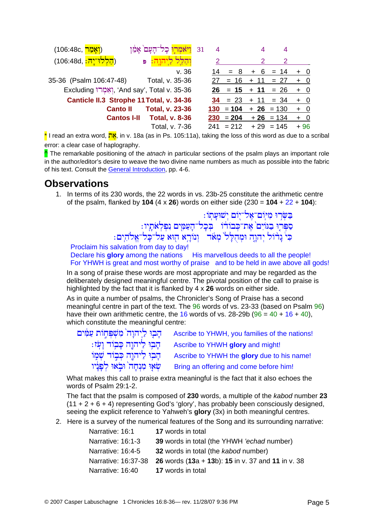| (106:48c, <mark>ראמר</mark> )          | ויאמרו כל־העם                                  | 31<br>4 |           |        | 4            |       |
|----------------------------------------|------------------------------------------------|---------|-----------|--------|--------------|-------|
| ( <mark>הַלְלוּ־יָהּ: 106:48d</mark> ) | Đ                                              |         |           |        | 2            |       |
|                                        | v.36                                           | 14      | $= 8$     | + 6    | $= 14$       | $+ 0$ |
| 35-36 (Psalm 106:47-48)                | Total, v. 35-36                                | 27      | $= 16$    | $+ 11$ | $= 27$       | $+ 0$ |
|                                        | Excluding וְאָמָרוּ, 'And say', Total v. 35-36 |         | $26 = 15$ | $+ 11$ | $= 26$       | $+ 0$ |
|                                        | Canticle II.3 Strophe 11 Total, v. 34-36       |         | $34 = 23$ | $+ 11$ | $= 34$       | $+ 0$ |
| <b>Canto II</b>                        | <b>Total, v. 23-36</b>                         | 130     | $= 104$   |        | $+ 26 = 130$ | $+ 0$ |
| <b>Cantos I-II</b>                     | <b>Total, v. 8-36</b>                          | 230     | $= 204$   | $+26$  | $= 134$      | $+ 0$ |
|                                        | Total, v. 7-36                                 | 241     | $= 212$   | $+29$  | $= 145$      | $+96$ |

\* I read an extra word. אה in v. 18a (as in Ps. 105:11a), taking the loss of this word as due to a scribal error: a clear case of haplography.

The remarkable positioning of the *atnach* in particular sections of the psalm plays an important role in the author/editor's desire to weave the two divine name numbers as much as possible into the fabric of his text. Consult the General Introduction, pp. 4-6.

#### **Observations**

1. In terms of its 230 words, the 22 words in vs. 23b-25 constitute the arithmetic centre of the psalm, flanked by 104 (4 x 26) words on either side (230 =  $104 + 22 + 104$ ):

בִּשְּׂרִוּ מִיּֽוֹם־אֶל־יָוֹם יְשׁוּעָתְוֹ :<br>סִפְּרְוּ בִגּוֹיִם אֶת־כְּבוֹדוֹ | בְּכָל־הָעַמָּיִם נִפְלְאֹתָיו :<br>כִּי נָרוֹל יְהוָהָ וּמְהֻלָּל מְאֹד | וְנוֹרָא הְוּא עַל־כָּל־אֱלֹהִים :

Proclaim his salvation from day to day! Declare his glory among the nations His marvellous deeds to all the people! For YHWH is great and most worthy of praise and to be held in awe above all gods!

In a song of praise these words are most appropriate and may be regarded as the deliberately designed meaningful centre. The pivotal position of the call to praise is highlighted by the fact that it is flanked by 4 x 26 words on either side.

As in quite a number of psalms, the Chronicler's Song of Praise has a second meaningful centre in part of the text. The 96 words of vs. 23-33 (based on Psalm 96) have their own arithmetic centre, the 16 words of vs. 28-29b ( $96 = 40 + 16 + 40$ ), which constitute the meaningful centre:

| הָבִוּ לַיִהוָה מִשִׁפִּחְוֹת עַמְּים | Ascribe to YHWH, you families of the nations! |
|---------------------------------------|-----------------------------------------------|
| ּהָבְוּ לַיהוֶה כָּבְוֹד וָעָׂז:      | Ascribe to YHWH glory and might!              |
| ּהָבְוּ לַיהוֶה כִּבְוֹד שָׁמָוֹ      | Ascribe to YHWH the glory due to his name!    |
| שְׂאָוּ מִנְחָה וּבְאוּ לְפָנָיו      | Bring an offering and come before him!        |

What makes this call to praise extra meaningful is the fact that it also echoes the words of Psalm 29:1-2.

The fact that the psalm is composed of 230 words, a multiple of the kabod number 23  $(11 + 2 + 6 + 4)$  representing God's 'glory', has probably been consciously designed, seeing the explicit reference to Yahweh's glory (3x) in both meaningful centres.

2. Here is a survey of the numerical features of the Song and its surrounding narrative:

| Narrative: 16:1   | <b>17</b> words in total                                              |
|-------------------|-----------------------------------------------------------------------|
| Narrative: 16:1-3 | <b>39</b> words in total (the YHWH 'echad number)                     |
| Narrative: 16:4-5 | 32 words in total (the kabod number)                                  |
|                   | Narrative: 16:37-38 26 words (13a + 13b): 15 in v. 37 and 11 in v. 38 |
| Narrative: 16:40  | <b>17</b> words in total                                              |